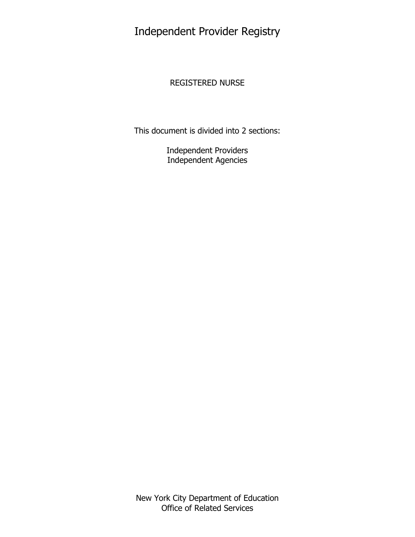Independent Provider Registry

# REGISTERED NURSE

This document is divided into 2 sections:

Independent Providers Independent Agencies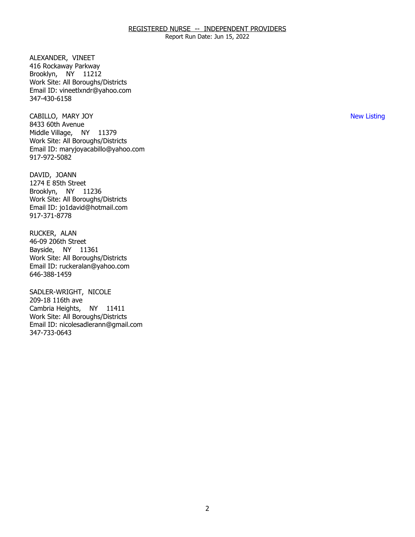Report Run Date: Jun 15, 2022

ALEXANDER, VINEET Brooklyn, NY 11212 416 Rockaway Parkway Work Site: All Boroughs/Districts Email ID: [vineetlxndr@yahoo.com](mailto:vineetlxndr@yahoo.com)  347-430-6158

CABILLO, MARY JOY Middle Village, NY 11379 8433 60th Avenue Work Site: All Boroughs/Districts Email ID: [maryjoyacabillo@yahoo.com](mailto:maryjoyacabillo@yahoo.com) 917-972-5082

DAVID, JOANN Brooklyn, NY 11236 1274 E 85th Street Work Site: All Boroughs/Districts Email ID: [jo1david@hotmail.com](mailto:jo1david@hotmail.com) 917-371-8778

RUCKER, ALAN Bayside, NY 11361 46-09 206th Street Work Site: All Boroughs/Districts Email ID: [ruckeralan@yahoo.com](mailto:ruckeralan@yahoo.com) 646-388-1459

SADLER-WRIGHT, NICOLE<br>209-18 116th ave Cambria Heights, NY 11411 Work Site: All Boroughs/Districts Email ID: [nicolesadlerann@gmail.com](mailto:nicolesadlerann@gmail.com) 347-733-0643

New Listing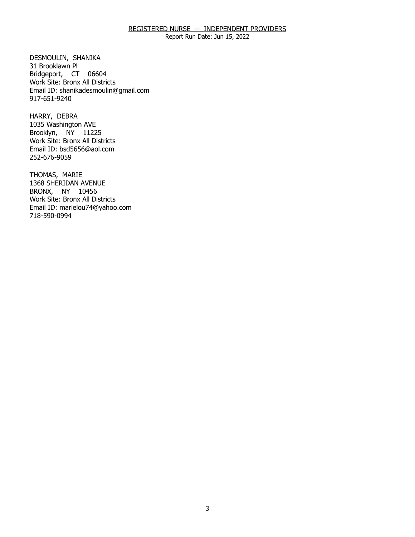Report Run Date: Jun 15, 2022

DESMOULIN, SHANIKA<br>31 Brooklawn Pl Bridgeport, CT 06604 Work Site: Bronx All Districts Email ID: [shanikadesmoulin@gmail.com](mailto:shanikadesmoulin@gmail.com) 917-651-9240

HARRY, DEBRA Brooklyn, NY 11225 1035 Washington AVE Work Site: Bronx All Districts Email ID: [bsd5656@aol.com](mailto:bsd5656@aol.com)  252-676-9059

THOMAS, MARIE BRONX, NY 10456 1368 SHERIDAN AVENUE Work Site: Bronx All Districts Email ID: [marielou74@yahoo.com](mailto:marielou74@yahoo.com) 718-590-0994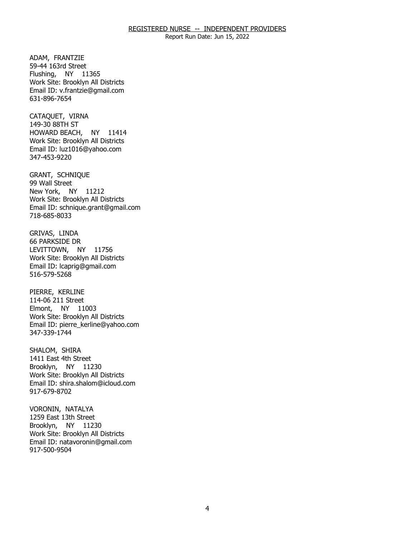Report Run Date: Jun 15, 2022

ADAM, FRANTZIE Flushing, NY 11365 59-44 163rd Street Work Site: Brooklyn All Districts Email ID: [v.frantzie@gmail.com](mailto:v.frantzie@gmail.com) 631-896-7654

CATAQUET, VIRNA<br>149-30 88TH ST HOWARD BEACH, NY 11414 Work Site: Brooklyn All Districts Email ID: [luz1016@yahoo.com](mailto:luz1016@yahoo.com) 347-453-9220

GRANT, SCHNIQUE<br>99 Wall Street New York, NY 11212 Work Site: Brooklyn All Districts Email ID: [schnique.grant@gmail.com](mailto:schnique.grant@gmail.com) 718-685-8033

GRIVAS, LINDA LEVITTOWN, NY 11756 66 PARKSIDE DR Work Site: Brooklyn All Districts Email ID: [lcaprig@gmail.com](mailto:lcaprig@gmail.com) 516-579-5268

PIERRE, KERLINE Elmont, NY 11003 114-06 211 Street Work Site: Brooklyn All Districts Email ID: [pierre\\_kerline@yahoo.com](mailto:pierre_kerline@yahoo.com) 347-339-1744

SHALOM, SHIRA Brooklyn, NY 11230 1411 East 4th Street Work Site: Brooklyn All Districts Email ID: [shira.shalom@icloud.com](mailto:shira.shalom@icloud.com)  917-679-8702

VORONIN, NATALYA Brooklyn, NY 11230 1259 East 13th Street Work Site: Brooklyn All Districts Email ID: [natavoronin@gmail.com](mailto:natavoronin@gmail.com)  917-500-9504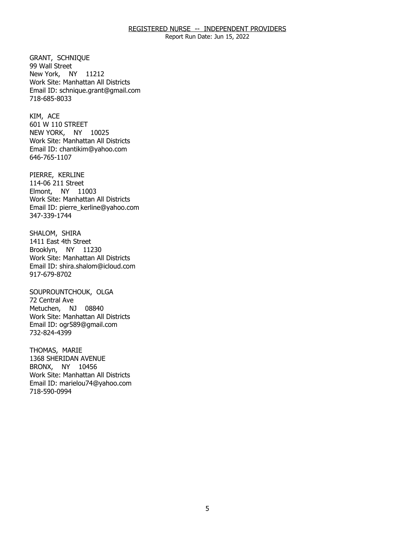Report Run Date: Jun 15, 2022

GRANT, SCHNIQUE<br>99 Wall Street New York, NY 11212 Work Site: Manhattan All Districts Email ID: [schnique.grant@gmail.com](mailto:schnique.grant@gmail.com) 718-685-8033

KIM, ACE NEW YORK, NY 10025 601 W 110 STREET Work Site: Manhattan All Districts Email ID: [chantikim@yahoo.com](mailto:chantikim@yahoo.com) 646-765-1107

PIERRE, KERLINE Elmont, NY 11003 114-06 211 Street Work Site: Manhattan All Districts Email ID: [pierre\\_kerline@yahoo.com](mailto:pierre_kerline@yahoo.com) 347-339-1744

SHALOM, SHIRA Brooklyn, NY 11230 1411 East 4th Street Work Site: Manhattan All Districts Email ID: [shira.shalom@icloud.com](mailto:shira.shalom@icloud.com)  917-679-8702

SOUPROUNTCHOUK, OLGA<br>72 Central Ave Metuchen, NJ 08840 Work Site: Manhattan All Districts Email ID: [ogr589@gmail.com](mailto:ogr589@gmail.com) 732-824-4399

THOMAS, MARIE BRONX, NY 10456 1368 SHERIDAN AVENUE Work Site: Manhattan All Districts Email ID: [marielou74@yahoo.com](mailto:marielou74@yahoo.com) 718-590-0994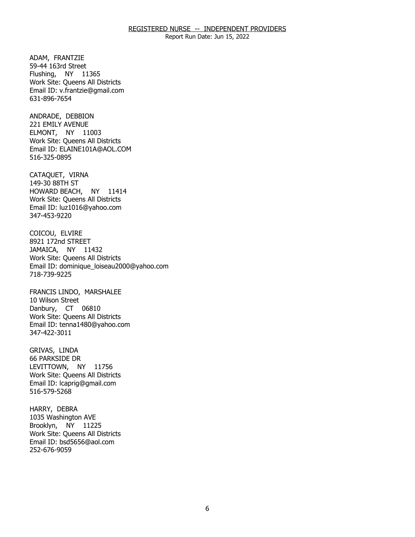Report Run Date: Jun 15, 2022

ADAM, FRANTZIE Flushing, NY 11365 59-44 163rd Street Work Site: Queens All Districts Email ID: [v.frantzie@gmail.com](mailto:v.frantzie@gmail.com) 631-896-7654

ANDRADE, DEBBION ELMONT, NY 11003 221 EMILY AVENUE Work Site: Queens All Districts Email ID: [ELAINE101A@AOL.COM](mailto:ELAINE101A@AOL.COM)  516-325-0895

CATAQUET, VIRNA<br>149-30 88TH ST HOWARD BEACH, NY 11414 Work Site: Queens All Districts Email ID: [luz1016@yahoo.com](mailto:luz1016@yahoo.com) 347-453-9220

COICOU, ELVIRE JAMAICA, NY 11432 8921 172nd STREET Work Site: Queens All Districts Email ID: [dominique\\_loiseau2000@yahoo.com](mailto:dominique_loiseau2000@yahoo.com)  718-739-9225

 FRANCIS LINDO, MARSHALEE 10 Wilson Street Danbury, CT 06810 Work Site: Queens All Districts Email ID: [tenna1480@yahoo.com](mailto:tenna1480@yahoo.com)  347-422-3011

GRIVAS, LINDA LEVITTOWN, NY 11756 66 PARKSIDE DR Work Site: Queens All Districts Email ID: [lcaprig@gmail.com](mailto:lcaprig@gmail.com) 516-579-5268

HARRY, DEBRA Brooklyn, NY 11225 1035 Washington AVE Work Site: Queens All Districts Email ID: [bsd5656@aol.com](mailto:bsd5656@aol.com)  252-676-9059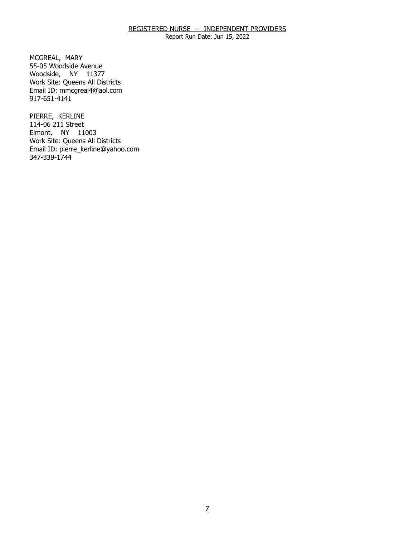Report Run Date: Jun 15, 2022

MCGREAL, MARY Woodside, NY 11377 55-05 Woodside Avenue Work Site: Queens All Districts Email ID: [mmcgreal4@aol.com](mailto:mmcgreal4@aol.com) 917-651-4141

PIERRE, KERLINE Elmont, NY 11003 114-06 211 Street Work Site: Queens All Districts Email ID: [pierre\\_kerline@yahoo.com](mailto:pierre_kerline@yahoo.com) 347-339-1744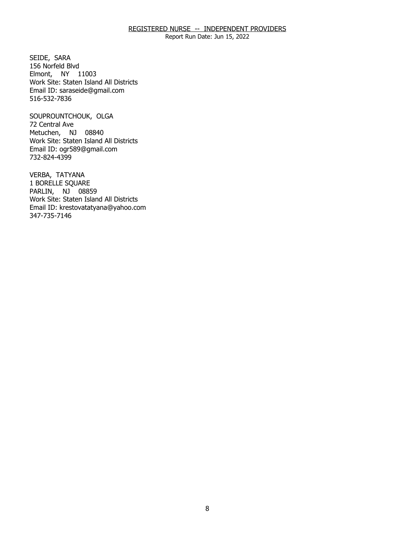Report Run Date: Jun 15, 2022

SEIDE, SARA Elmont, NY 11003 156 Norfeld Blvd Work Site: Staten Island All Districts Email ID: [saraseide@gmail.com](mailto:saraseide@gmail.com)  516-532-7836

SOUPROUNTCHOUK, OLGA<br>72 Central Ave Metuchen, NJ 08840 Work Site: Staten Island All Districts Email ID: [ogr589@gmail.com](mailto:ogr589@gmail.com) 732-824-4399

VERBA, TATYANA PARLIN, NJ 08859 1 BORELLE SQUARE Work Site: Staten Island All Districts Email ID: [krestovatatyana@yahoo.com](mailto:krestovatatyana@yahoo.com) 347-735-7146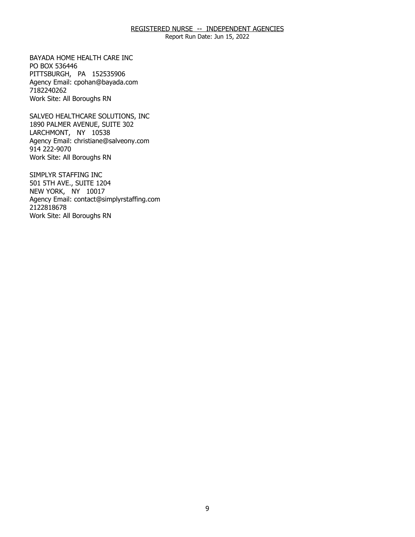Report Run Date: Jun 15, 2022

BAYADA HOME HEALTH CARE INC PO BOX 536446 BAYADA HOME HEALTH CARE INC<br>PO BOX 536446<br>PITTSBURGH, PA 152535906 Agency Email: [cpohan@bayada.com](mailto:cpohan@bayada.com)  7182240262 Work Site: All Boroughs RN

SALVEO HEALTHCARE SOLUTIONS, INC LARCHMONT, NY 10538 SALVEO HEALTHCARE SOLUTIONS, INC<br>1890 PALMER AVENUE, SUITE 302<br>LARCHMONT, NY 10538 Agency Email: [christiane@salveony.com](mailto:christiane@salveony.com) 914 222-9070 Work Site: All Boroughs RN

SIMPLYR STAFFING INC NEW YORK, NY 10017 SIMPLYR STAFFING INC<br>501 5TH AVE., SUITE 1204<br>NEW YORK, NY 10017 Agency Email: [contact@simplyrstaffing.com](mailto:contact@simplyrstaffing.com) 2122818678 Work Site: All Boroughs RN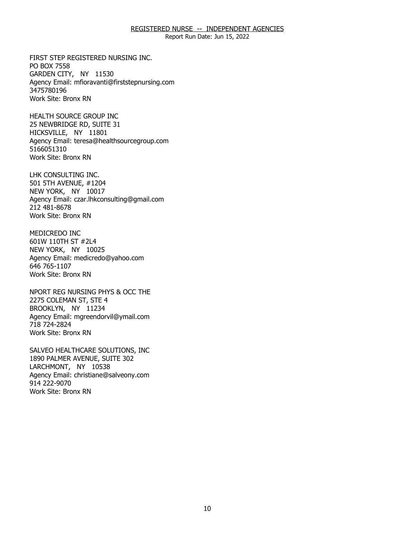Report Run Date: Jun 15, 2022

FIRST STEP REGISTERED NURSING INC.<br>PO BOX 7558<br>GARDEN CITY, NY 11530 PO BOX 7558 GARDEN CITY, NY 11530 Agency Email: [mfioravanti@firststepnursing.com](mailto:mfioravanti@firststepnursing.com)  3475780196 Work Site: Bronx RN

HEALTH SOURCE GROUP INC HICKSVILLE, NY 11801 HEALTH SOURCE GROUP INC<br>25 NEWBRIDGE RD, SUITE 31<br>HICKSVILLE, NY 11801 Agency Email: [teresa@healthsourcegroup.com](mailto:teresa@healthsourcegroup.com)  5166051310 Work Site: Bronx RN

LHK CONSULTING INC. 501 5TH AVENUE, #1204 LHK CONSULTING INC.<br>501 5TH AVENUE, #1204<br>NEW YORK, NY 10017 Agency Email: [czar.lhkconsulting@gmail.com](mailto:czar.lhkconsulting@gmail.com) 212 481-8678 Work Site: Bronx RN

MEDICREDO INC 601W 110TH ST #2L4 MEDICREDO INC<br>601W 110TH ST #2L4<br>NEW YORK, NY 10025 Agency Email: [medicredo@yahoo.com](mailto:medicredo@yahoo.com)  646 765-1107 Work Site: Bronx RN

NPORT REG NURSING PHYS & OCC THE<br>2275 COLEMAN ST, STE 4<br>BROOKLYN, NY 11234 2275 COLEMAN ST, STE 4 BROOKLYN, NY 11234 Agency Email: [mgreendorvil@ymail.com](mailto:mgreendorvil@ymail.com)  718 724-2824 Work Site: Bronx RN

SALVEO HEALTHCARE SOLUTIONS, INC LARCHMONT, NY 10538 SALVEO HEALTHCARE SOLUTIONS, INC<br>1890 PALMER AVENUE, SUITE 302<br>LARCHMONT, NY 10538 Agency Email: [christiane@salveony.com](mailto:christiane@salveony.com) 914 222-9070 Work Site: Bronx RN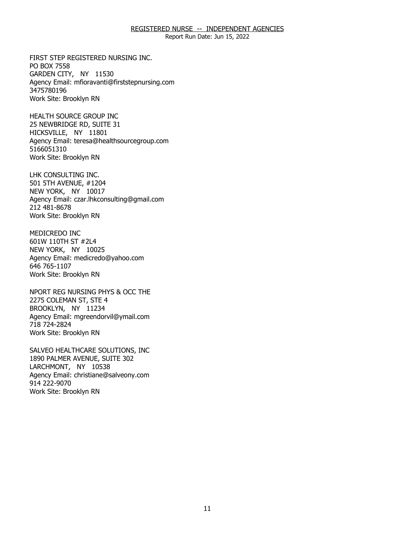Report Run Date: Jun 15, 2022

FIRST STEP REGISTERED NURSING INC.<br>PO BOX 7558<br>GARDEN CITY, NY 11530 PO BOX 7558 GARDEN CITY, NY 11530 Agency Email: [mfioravanti@firststepnursing.com](mailto:mfioravanti@firststepnursing.com)  3475780196 Work Site: Brooklyn RN

HEALTH SOURCE GROUP INC HICKSVILLE, NY 11801 HEALTH SOURCE GROUP INC<br>25 NEWBRIDGE RD, SUITE 31<br>HICKSVILLE, NY 11801 Agency Email: [teresa@healthsourcegroup.com](mailto:teresa@healthsourcegroup.com)  5166051310 Work Site: Brooklyn RN

LHK CONSULTING INC. NEW YORK, NY 10017 LHK CONSULTING INC.<br>501 5TH AVENUE, #1204<br>NEW YORK, NY 10017 Agency Email: [czar.lhkconsulting@gmail.com](mailto:czar.lhkconsulting@gmail.com) 212 481-8678 Work Site: Brooklyn RN

MEDICREDO INC 601W 110TH ST #2L4 MEDICREDO INC<br>601W 110TH ST #2L4<br>NEW YORK, NY 10025 Agency Email: [medicredo@yahoo.com](mailto:medicredo@yahoo.com)  646 765-1107 Work Site: Brooklyn RN

NPORT REG NURSING PHYS & OCC THE<br>2275 COLEMAN ST, STE 4<br>BROOKLYN, NY 11234 2275 COLEMAN ST, STE 4 BROOKLYN, NY 11234 Agency Email: [mgreendorvil@ymail.com](mailto:mgreendorvil@ymail.com)  718 724-2824 Work Site: Brooklyn RN

SALVEO HEALTHCARE SOLUTIONS, INC LARCHMONT, NY 10538 SALVEO HEALTHCARE SOLUTIONS, INC<br>1890 PALMER AVENUE, SUITE 302<br>LARCHMONT, NY 10538 Agency Email: [christiane@salveony.com](mailto:christiane@salveony.com) 914 222-9070 Work Site: Brooklyn RN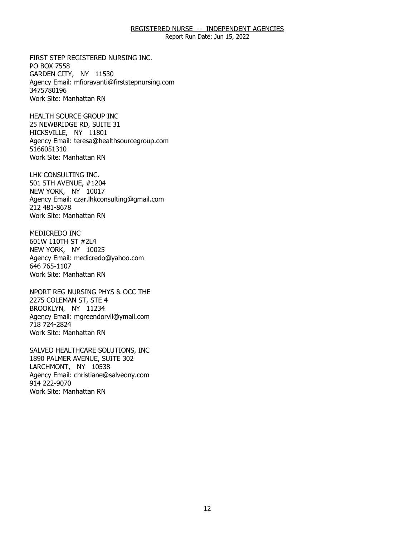Report Run Date: Jun 15, 2022

FIRST STEP REGISTERED NURSING INC.<br>PO BOX 7558<br>GARDEN CITY, NY 11530 PO BOX 7558 GARDEN CITY, NY 11530 Agency Email: [mfioravanti@firststepnursing.com](mailto:mfioravanti@firststepnursing.com)  3475780196 Work Site: Manhattan RN

HEALTH SOURCE GROUP INC HICKSVILLE, NY 11801 HEALTH SOURCE GROUP INC<br>25 NEWBRIDGE RD, SUITE 31<br>HICKSVILLE, NY 11801 Agency Email: [teresa@healthsourcegroup.com](mailto:teresa@healthsourcegroup.com)  5166051310 Work Site: Manhattan RN

LHK CONSULTING INC. NEW YORK, NY 10017 LHK CONSULTING INC.<br>501 5TH AVENUE, #1204<br>NEW YORK, NY 10017 Agency Email: [czar.lhkconsulting@gmail.com](mailto:czar.lhkconsulting@gmail.com) 212 481-8678 Work Site: Manhattan RN

MEDICREDO INC 601W 110TH ST #2L4 MEDICREDO INC<br>601W 110TH ST #2L4<br>NEW YORK, NY 10025 Agency Email: [medicredo@yahoo.com](mailto:medicredo@yahoo.com)  646 765-1107 Work Site: Manhattan RN

NPORT REG NURSING PHYS & OCC THE<br>2275 COLEMAN ST, STE 4<br>BROOKLYN, NY 11234 2275 COLEMAN ST, STE 4 BROOKLYN, NY 11234 Agency Email: [mgreendorvil@ymail.com](mailto:mgreendorvil@ymail.com)  718 724-2824 Work Site: Manhattan RN

SALVEO HEALTHCARE SOLUTIONS, INC LARCHMONT, NY 10538 SALVEO HEALTHCARE SOLUTIONS, INC<br>1890 PALMER AVENUE, SUITE 302<br>LARCHMONT, NY 10538 Agency Email: [christiane@salveony.com](mailto:christiane@salveony.com) 914 222-9070 Work Site: Manhattan RN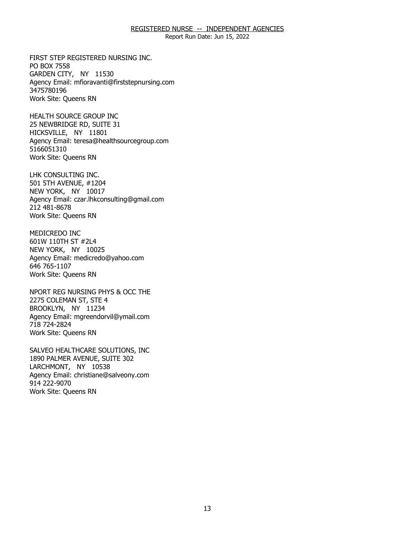Report Run Date: Jun 15, 2022

FIRST STEP REGISTERED NURSING INC.<br>PO BOX 7558<br>GARDEN CITY, NY 11530 PO BOX 7558 GARDEN CITY, NY 11530 Agency Email: [mfioravanti@firststepnursing.com](mailto:mfioravanti@firststepnursing.com)  3475780196 Work Site: Queens RN

HEALTH SOURCE GROUP INC HICKSVILLE, NY 11801 HEALTH SOURCE GROUP INC<br>25 NEWBRIDGE RD, SUITE 31<br>HICKSVILLE, NY 11801 Agency Email: [teresa@healthsourcegroup.com](mailto:teresa@healthsourcegroup.com)  5166051310 Work Site: Queens RN

LHK CONSULTING INC. 501 5TH AVENUE, #1204 LHK CONSULTING INC.<br>501 5TH AVENUE, #1204<br>NEW YORK, NY 10017 Agency Email: [czar.lhkconsulting@gmail.com](mailto:czar.lhkconsulting@gmail.com) 212 481-8678 Work Site: Queens RN

MEDICREDO INC 601W 110TH ST #2L4 MEDICREDO INC<br>601W 110TH ST #2L4<br>NEW YORK, NY 10025 Agency Email: [medicredo@yahoo.com](mailto:medicredo@yahoo.com)  646 765-1107 Work Site: Queens RN

NPORT REG NURSING PHYS & OCC THE<br>2275 COLEMAN ST, STE 4<br>BROOKLYN, NY 11234 2275 COLEMAN ST, STE 4 BROOKLYN, NY 11234 Agency Email: [mgreendorvil@ymail.com](mailto:mgreendorvil@ymail.com)  718 724-2824 Work Site: Queens RN

SALVEO HEALTHCARE SOLUTIONS, INC LARCHMONT, NY 10538 SALVEO HEALTHCARE SOLUTIONS, INC<br>1890 PALMER AVENUE, SUITE 302<br>LARCHMONT, NY 10538 Agency Email: [christiane@salveony.com](mailto:christiane@salveony.com) 914 222-9070 Work Site: Queens RN